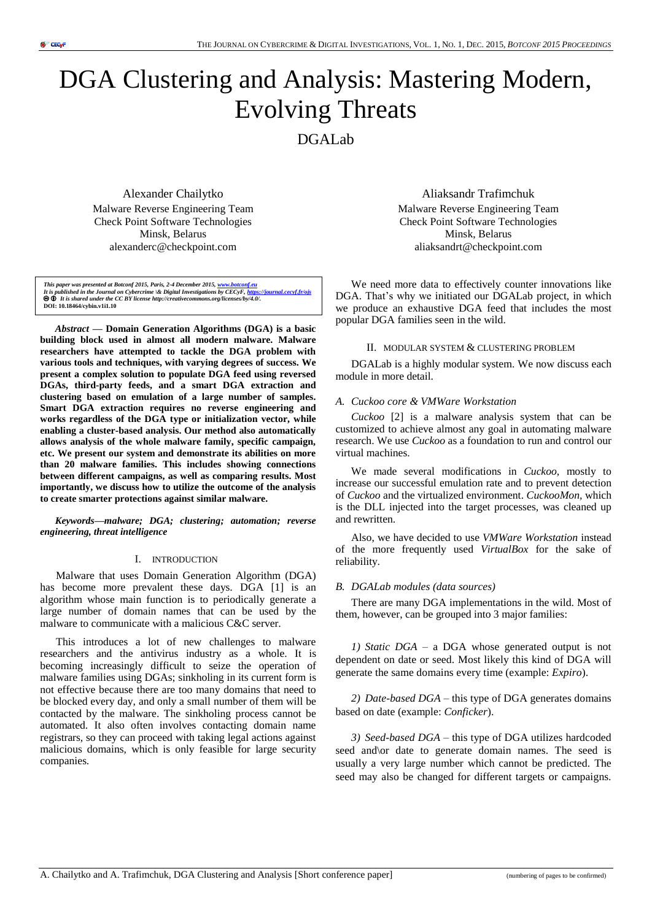# DGA Clustering and Analysis: Mastering Modern, Evolving Threats

DGALab

Alexander Chailytko

Malware Reverse Engineering Team Check Point Software Technologies Minsk, Belarus alexanderc@checkpoint.com

This paper was presented at Botconf 2015, Paris, 2-4 December 2015, <u>www.botconf.eu</u><br>It is published in the Journal on Cybercrime \& Digital Investigations by CECyF, <u>https://iournal.cecyf.fr/ois</u><br>● **©** It is shared under **DOI: 10.18464/cybin.v1i1.10**

*Abstract* **— Domain Generation Algorithms (DGA) is a basic building block used in almost all modern malware. Malware researchers have attempted to tackle the DGA problem with various tools and techniques, with varying degrees of success. We present a complex solution to populate DGA feed using reversed DGAs, third-party feeds, and a smart DGA extraction and clustering based on emulation of a large number of samples. Smart DGA extraction requires no reverse engineering and works regardless of the DGA type or initialization vector, while enabling a cluster-based analysis. Our method also automatically allows analysis of the whole malware family, specific campaign, etc. We present our system and demonstrate its abilities on more than 20 malware families. This includes showing connections between different campaigns, as well as comparing results. Most importantly, we discuss how to utilize the outcome of the analysis to create smarter protections against similar malware.**

*Keywords—malware; DGA; clustering; automation; reverse engineering, threat intelligence*

#### I. INTRODUCTION

Malware that uses Domain Generation Algorithm (DGA) has become more prevalent these days. DGA [1] is an algorithm whose main function is to periodically generate a large number of domain names that can be used by the malware to communicate with a malicious C&C server.

This introduces a lot of new challenges to malware researchers and the antivirus industry as a whole. It is becoming increasingly difficult to seize the operation of malware families using DGAs; sinkholing in its current form is not effective because there are too many domains that need to be blocked every day, and only a small number of them will be contacted by the malware. The sinkholing process cannot be automated. It also often involves contacting domain name registrars, so they can proceed with taking legal actions against malicious domains, which is only feasible for large security companies.

Aliaksandr Trafimchuk

Malware Reverse Engineering Team Check Point Software Technologies Minsk, Belarus aliaksandrt@checkpoint.com

We need more data to effectively counter innovations like DGA. That's why we initiated our DGALab project, in which we produce an exhaustive DGA feed that includes the most popular DGA families seen in the wild.

## II. MODULAR SYSTEM & CLUSTERING PROBLEM

DGALab is a highly modular system. We now discuss each module in more detail.

## *A. Cuckoo core & VMWare Workstation*

*Cuckoo* [2] is a malware analysis system that can be customized to achieve almost any goal in automating malware research. We use *Cuckoo* as a foundation to run and control our virtual machines.

We made several modifications in *Cuckoo,* mostly to increase our successful emulation rate and to prevent detection of *Cuckoo* and the virtualized environment. *CuckooMon,* which is the DLL injected into the target processes, was cleaned up and rewritten.

Also, we have decided to use *VMWare Workstation* instead of the more frequently used *VirtualBox* for the sake of reliability.

#### *B. DGALab modules (data sources)*

There are many DGA implementations in the wild. Most of them, however, can be grouped into 3 major families:

*1) Static DGA –* a DGA whose generated output is not dependent on date or seed. Most likely this kind of DGA will generate the same domains every time (example: *Expiro*).

*2) Date-based DGA –* this type of DGA generates domains based on date (example: *Conficker*).

*3) Seed-based DGA –* this type of DGA utilizes hardcoded seed and\or date to generate domain names. The seed is usually a very large number which cannot be predicted. The seed may also be changed for different targets or campaigns.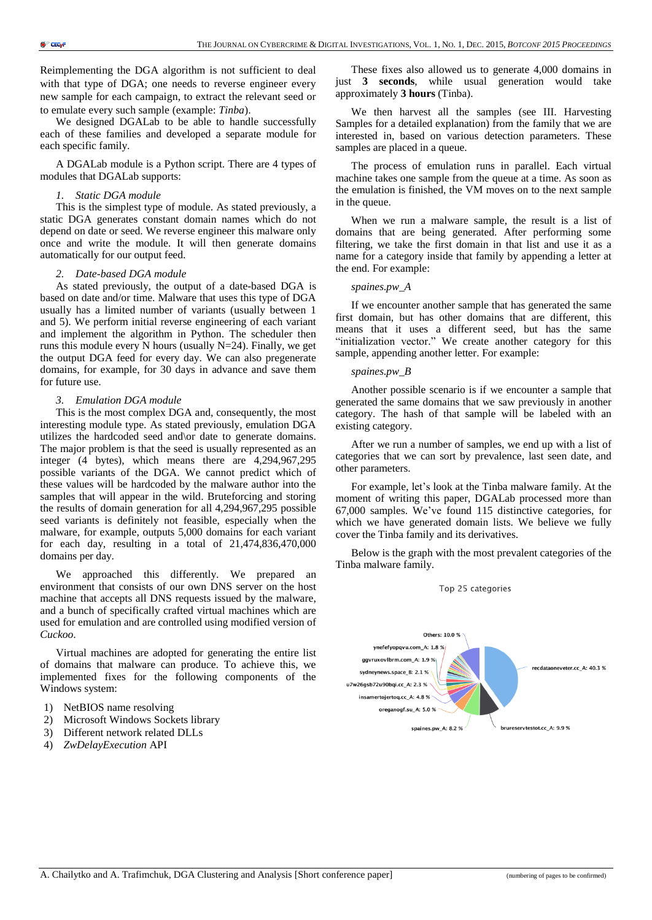Reimplementing the DGA algorithm is not sufficient to deal with that type of DGA; one needs to reverse engineer every new sample for each campaign, to extract the relevant seed or to emulate every such sample (example: *Tinba*).

We designed DGALab to be able to handle successfully each of these families and developed a separate module for each specific family.

A DGALab module is a Python script. There are 4 types of modules that DGALab supports:

#### *1. Static DGA module*

This is the simplest type of module. As stated previously, a static DGA generates constant domain names which do not depend on date or seed. We reverse engineer this malware only once and write the module. It will then generate domains automatically for our output feed.

## *2. Date-based DGA module*

As stated previously, the output of a date-based DGA is based on date and/or time. Malware that uses this type of DGA usually has a limited number of variants (usually between 1 and 5). We perform initial reverse engineering of each variant and implement the algorithm in Python. The scheduler then runs this module every N hours (usually N=24). Finally, we get the output DGA feed for every day. We can also pregenerate domains, for example, for 30 days in advance and save them for future use.

## *3. Emulation DGA module*

This is the most complex DGA and, consequently, the most interesting module type. As stated previously, emulation DGA utilizes the hardcoded seed and\or date to generate domains. The major problem is that the seed is usually represented as an integer (4 bytes), which means there are 4,294,967,295 possible variants of the DGA. We cannot predict which of these values will be hardcoded by the malware author into the samples that will appear in the wild. Bruteforcing and storing the results of domain generation for all 4,294,967,295 possible seed variants is definitely not feasible, especially when the malware, for example, outputs 5,000 domains for each variant for each day, resulting in a total of 21,474,836,470,000 domains per day.

We approached this differently. We prepared an environment that consists of our own DNS server on the host machine that accepts all DNS requests issued by the malware, and a bunch of specifically crafted virtual machines which are used for emulation and are controlled using modified version of *Cuckoo*.

Virtual machines are adopted for generating the entire list of domains that malware can produce. To achieve this, we implemented fixes for the following components of the Windows system:

- 1) NetBIOS name resolving
- 2) Microsoft Windows Sockets library
- 3) Different network related DLLs
- 4) *ZwDelayExecution* API

These fixes also allowed us to generate 4,000 domains in just **3 seconds**, while usual generation would take approximately **3 hours** (Tinba).

We then harvest all the samples (see III. Harvesting Samples for a detailed explanation) from the family that we are interested in, based on various detection parameters. These samples are placed in a queue.

The process of emulation runs in parallel. Each virtual machine takes one sample from the queue at a time. As soon as the emulation is finished, the VM moves on to the next sample in the queue.

When we run a malware sample, the result is a list of domains that are being generated. After performing some filtering, we take the first domain in that list and use it as a name for a category inside that family by appending a letter at the end. For example:

#### *spaines.pw\_A*

If we encounter another sample that has generated the same first domain, but has other domains that are different, this means that it uses a different seed, but has the same "initialization vector." We create another category for this sample, appending another letter. For example:

#### *spaines.pw\_B*

Another possible scenario is if we encounter a sample that generated the same domains that we saw previously in another category. The hash of that sample will be labeled with an existing category.

After we run a number of samples, we end up with a list of categories that we can sort by prevalence, last seen date, and other parameters.

For example, let's look at the Tinba malware family. At the moment of writing this paper, DGALab processed more than 67,000 samples. We've found 115 distinctive categories, for which we have generated domain lists. We believe we fully cover the Tinba family and its derivatives.

Below is the graph with the most prevalent categories of the Tinba malware family.